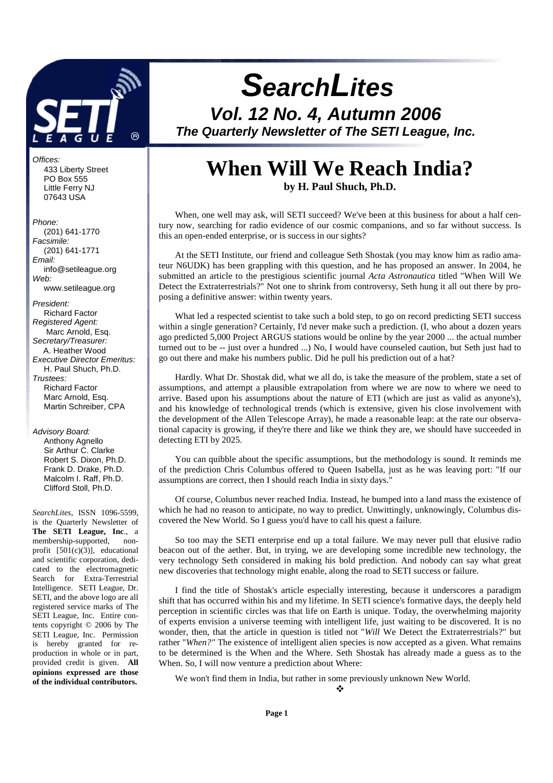

Offices: 433 Liberty Street PO Box 555 Little Ferry NJ 07643 USA

#### Phone:

 (201) 641-1770 Facsimile: (201) 641-1771 Email: info@setileague.org Web: www.setileague.org President: Richard Factor Registered Agent: Marc Arnold, Esq. Secretary/Treasurer: A. Heather Wood Executive Director Emeritus: H. Paul Shuch, Ph.D. Trustees: Richard Factor Marc Arnold, Esq. Martin Schreiber, CPA

#### Advisory Board:

 Anthony Agnello Sir Arthur C. Clarke Robert S. Dixon, Ph.D. Frank D. Drake, Ph.D. Malcolm I. Raff, Ph.D. Clifford Stoll, Ph.D.

*SearchLites*, ISSN 1096-5599, is the Quarterly Newsletter of **The SETI League, Inc**., a membership-supported, nonprofit  $[501(c)(3)]$ , educational and scientific corporation, dedicated to the electromagnetic Search for Extra-Terrestrial Intelligence. SETI League, Dr. SETI, and the above logo are all registered service marks of The SETI League, Inc. Entire contents copyright © 2006 by The SETI League, Inc. Permission is hereby granted for reproduction in whole or in part, provided credit is given. **All opinions expressed are those of the individual contributors.** 

# **SearchLites**

**Vol. 12 No. 4, Autumn 2006 The Quarterly Newsletter of The SETI League, Inc.** 

# **When Will We Reach India?**

**by H. Paul Shuch, Ph.D.**

When, one well may ask, will SETI succeed? We've been at this business for about a half century now, searching for radio evidence of our cosmic companions, and so far without success. Is this an open-ended enterprise, or is success in our sights?

At the SETI Institute, our friend and colleague Seth Shostak (you may know him as radio amateur N6UDK) has been grappling with this question, and he has proposed an answer. In 2004, he submitted an article to the prestigious scientific journal *Acta Astronautica* titled "When Will We Detect the Extraterrestrials?" Not one to shrink from controversy, Seth hung it all out there by proposing a definitive answer: within twenty years.

What led a respected scientist to take such a bold step, to go on record predicting SETI success within a single generation? Certainly, I'd never make such a prediction. (I, who about a dozen years ago predicted 5,000 Project ARGUS stations would be online by the year 2000 ... the actual number turned out to be -- just over a hundred ...) No, I would have counseled caution, but Seth just had to go out there and make his numbers public. Did he pull his prediction out of a hat?

Hardly. What Dr. Shostak did, what we all do, is take the measure of the problem, state a set of assumptions, and attempt a plausible extrapolation from where we are now to where we need to arrive. Based upon his assumptions about the nature of ETI (which are just as valid as anyone's), and his knowledge of technological trends (which is extensive, given his close involvement with the development of the Allen Telescope Array), he made a reasonable leap: at the rate our observational capacity is growing, if they're there and like we think they are, we should have succeeded in detecting ETI by 2025.

You can quibble about the specific assumptions, but the methodology is sound. It reminds me of the prediction Chris Columbus offered to Queen Isabella, just as he was leaving port: "If our assumptions are correct, then I should reach India in sixty days."

Of course, Columbus never reached India. Instead, he bumped into a land mass the existence of which he had no reason to anticipate, no way to predict. Unwittingly, unknowingly, Columbus discovered the New World. So I guess you'd have to call his quest a failure.

So too may the SETI enterprise end up a total failure. We may never pull that elusive radio beacon out of the aether. But, in trying, we are developing some incredible new technology, the very technology Seth considered in making his bold prediction. And nobody can say what great new discoveries that technology might enable, along the road to SETI success or failure.

I find the title of Shostak's article especially interesting, because it underscores a paradigm shift that has occurred within his and my lifetime. In SETI science's formative days, the deeply held perception in scientific circles was that life on Earth is unique. Today, the overwhelming majority of experts envision a universe teeming with intelligent life, just waiting to be discovered. It is no wonder, then, that the article in question is titled not "*Will* We Detect the Extraterrestrials?" but rather "*When?"* The existence of intelligent alien species is now accepted as a given. What remains to be determined is the When and the Where. Seth Shostak has already made a guess as to the When. So, I will now venture a prediction about Where:

We won't find them in India, but rather in some previously unknown New World.

 $\cdot$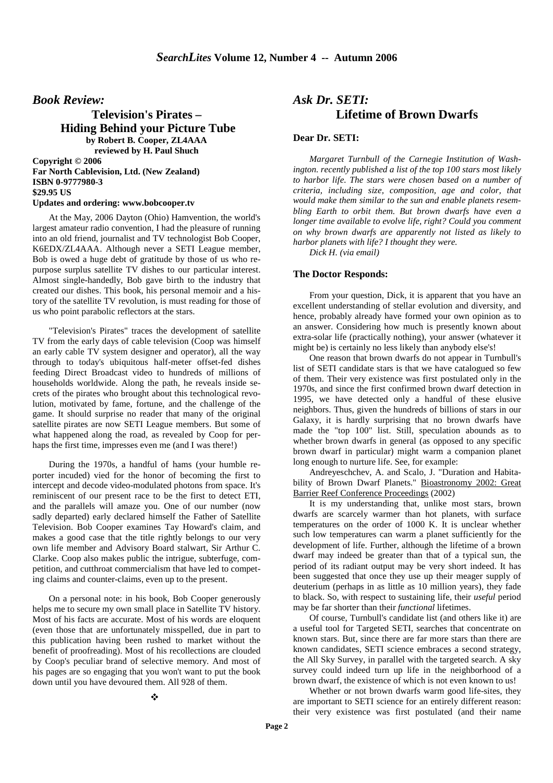*Book Review:*

**Television's Pirates – Hiding Behind your Picture Tube by Robert B. Cooper, ZL4AAA reviewed by H. Paul Shuch**

**Copyright © 2006 Far North Cablevision, Ltd. (New Zealand) ISBN 0-9777980-3 \$29.95 US Updates and ordering: www.bobcooper.tv** 

At the May, 2006 Dayton (Ohio) Hamvention, the world's largest amateur radio convention, I had the pleasure of running into an old friend, journalist and TV technologist Bob Cooper, K6EDX/ZL4AAA. Although never a SETI League member, Bob is owed a huge debt of gratitude by those of us who repurpose surplus satellite TV dishes to our particular interest. Almost single-handedly, Bob gave birth to the industry that created our dishes. This book, his personal memoir and a history of the satellite TV revolution, is must reading for those of us who point parabolic reflectors at the stars.

"Television's Pirates" traces the development of satellite TV from the early days of cable television (Coop was himself an early cable TV system designer and operator), all the way through to today's ubiquitous half-meter offset-fed dishes feeding Direct Broadcast video to hundreds of millions of households worldwide. Along the path, he reveals inside secrets of the pirates who brought about this technological revolution, motivated by fame, fortune, and the challenge of the game. It should surprise no reader that many of the original satellite pirates are now SETI League members. But some of what happened along the road, as revealed by Coop for perhaps the first time, impresses even me (and I was there!)

During the 1970s, a handful of hams (your humble reporter incuded) vied for the honor of becoming the first to intercept and decode video-modulated photons from space. It's reminiscent of our present race to be the first to detect ETI, and the parallels will amaze you. One of our number (now sadly departed) early declared himself the Father of Satellite Television. Bob Cooper examines Tay Howard's claim, and makes a good case that the title rightly belongs to our very own life member and Advisory Board stalwart, Sir Arthur C. Clarke. Coop also makes public the intrigue, subterfuge, competition, and cutthroat commercialism that have led to competing claims and counter-claims, even up to the present.

On a personal note: in his book, Bob Cooper generously helps me to secure my own small place in Satellite TV history. Most of his facts are accurate. Most of his words are eloquent (even those that are unfortunately misspelled, due in part to this publication having been rushed to market without the benefit of proofreading). Most of his recollections are clouded by Coop's peculiar brand of selective memory. And most of his pages are so engaging that you won't want to put the book down until you have devoured them. All 928 of them.

### *Ask Dr. SETI:*  **Lifetime of Brown Dwarfs**

#### **Dear Dr. SETI:**

*Margaret Turnbull of the Carnegie Institution of Washington. recently published a list of the top 100 stars most likely to harbor life. The stars were chosen based on a number of criteria, including size, composition, age and color, that would make them similar to the sun and enable planets resembling Earth to orbit them. But brown dwarfs have even a longer time available to evolve life, right? Could you comment on why brown dwarfs are apparently not listed as likely to harbor planets with life? I thought they were.* 

*Dick H. (via email)* 

#### **The Doctor Responds:**

From your question, Dick, it is apparent that you have an excellent understanding of stellar evolution and diversity, and hence, probably already have formed your own opinion as to an answer. Considering how much is presently known about extra-solar life (practically nothing), your answer (whatever it might be) is certainly no less likely than anybody else's!

One reason that brown dwarfs do not appear in Turnbull's list of SETI candidate stars is that we have catalogued so few of them. Their very existence was first postulated only in the 1970s, and since the first confirmed brown dwarf detection in 1995, we have detected only a handful of these elusive neighbors. Thus, given the hundreds of billions of stars in our Galaxy, it is hardly surprising that no brown dwarfs have made the "top 100" list. Still, speculation abounds as to whether brown dwarfs in general (as opposed to any specific brown dwarf in particular) might warm a companion planet long enough to nurture life. See, for example:

Andreyeschchev, A. and Scalo, J. "Duration and Habitability of Brown Dwarf Planets." Bioastronomy 2002: Great Barrier Reef Conference Proceedings (2002)

It is my understanding that, unlike most stars, brown dwarfs are scarcely warmer than hot planets, with surface temperatures on the order of 1000 K. It is unclear whether such low temperatures can warm a planet sufficiently for the development of life. Further, although the lifetime of a brown dwarf may indeed be greater than that of a typical sun, the period of its radiant output may be very short indeed. It has been suggested that once they use up their meager supply of deuterium (perhaps in as little as 10 million years), they fade to black. So, with respect to sustaining life, their *useful* period may be far shorter than their *functional* lifetimes.

Of course, Turnbull's candidate list (and others like it) are a useful tool for Targeted SETI, searches that concentrate on known stars. But, since there are far more stars than there are known candidates, SETI science embraces a second strategy, the All Sky Survey, in parallel with the targeted search. A sky survey could indeed turn up life in the neighborhood of a brown dwarf, the existence of which is not even known to us!

Whether or not brown dwarfs warm good life-sites, they are important to SETI science for an entirely different reason: their very existence was first postulated (and their name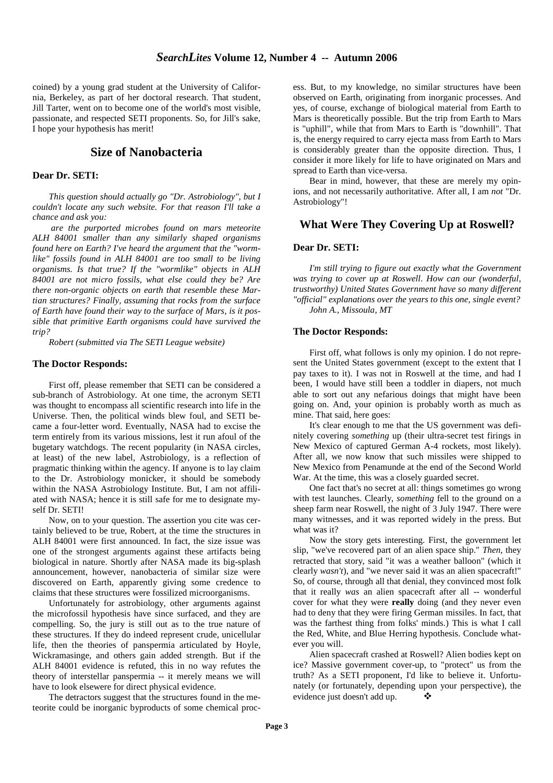coined) by a young grad student at the University of California, Berkeley, as part of her doctoral research. That student, Jill Tarter, went on to become one of the world's most visible, passionate, and respected SETI proponents. So, for Jill's sake, I hope your hypothesis has merit!

#### **Size of Nanobacteria**

#### **Dear Dr. SETI:**

*This question should actually go "Dr. Astrobiology", but I couldn't locate any such website. For that reason I'll take a chance and ask you:* 

 *are the purported microbes found on mars meteorite ALH 84001 smaller than any similarly shaped organisms found here on Earth? I've heard the argument that the "wormlike" fossils found in ALH 84001 are too small to be living organisms. Is that true? If the "wormlike" objects in ALH 84001 are not micro fossils, what else could they be? Are there non-organic objects on earth that resemble these Martian structures? Finally, assuming that rocks from the surface of Earth have found their way to the surface of Mars, is it possible that primitive Earth organisms could have survived the trip?* 

*Robert (submitted via The SETI League website)* 

#### **The Doctor Responds:**

First off, please remember that SETI can be considered a sub-branch of Astrobiology. At one time, the acronym SETI was thought to encompass all scientific research into life in the Universe. Then, the political winds blew foul, and SETI became a four-letter word. Eventually, NASA had to excise the term entirely from its various missions, lest it run afoul of the bugetary watchdogs. The recent popularity (in NASA circles, at least) of the new label, Astrobiology, is a reflection of pragmatic thinking within the agency. If anyone is to lay claim to the Dr. Astrobiology monicker, it should be somebody within the NASA Astrobiology Institute. But, I am not affiliated with NASA; hence it is still safe for me to designate myself Dr. SETI!

Now, on to your question. The assertion you cite was certainly believed to be true, Robert, at the time the structures in ALH 84001 were first announced. In fact, the size issue was one of the strongest arguments against these artifacts being biological in nature. Shortly after NASA made its big-splash announcement, however, nanobacteria of similar size were discovered on Earth, apparently giving some credence to claims that these structures were fossilized microorganisms.

Unfortunately for astrobiology, other arguments against the microfossil hypothesis have since surfaced, and they are compelling. So, the jury is still out as to the true nature of these structures. If they do indeed represent crude, unicellular life, then the theories of panspermia articulated by Hoyle, Wickramasinge, and others gain added strength. But if the ALH 84001 evidence is refuted, this in no way refutes the theory of interstellar panspermia -- it merely means we will have to look elsewere for direct physical evidence.

The detractors suggest that the structures found in the meteorite could be inorganic byproducts of some chemical proc-

ess. But, to my knowledge, no similar structures have been observed on Earth, originating from inorganic processes. And yes, of course, exchange of biological material from Earth to Mars is theoretically possible. But the trip from Earth to Mars is "uphill", while that from Mars to Earth is "downhill". That is, the energy required to carry ejecta mass from Earth to Mars is considerably greater than the opposite direction. Thus, I consider it more likely for life to have originated on Mars and spread to Earth than vice-versa.

Bear in mind, however, that these are merely my opinions, and not necessarily authoritative. After all, I am *not* "Dr. Astrobiology"!

#### **What Were They Covering Up at Roswell?**

#### **Dear Dr. SETI:**

*I'm still trying to figure out exactly what the Government was trying to cover up at Roswell. How can our (wonderful, trustworthy) United States Government have so many different "official" explanations over the years to this one, single event? John A., Missoula, MT*

#### **The Doctor Responds:**

First off, what follows is only my opinion. I do not represent the United States government (except to the extent that I pay taxes to it). I was not in Roswell at the time, and had I been, I would have still been a toddler in diapers, not much able to sort out any nefarious doings that might have been going on. And, your opinion is probably worth as much as mine. That said, here goes:

It's clear enough to me that the US government was definitely covering *something* up (their ultra-secret test firings in New Mexico of captured German A-4 rockets, most likely). After all, we now know that such missiles were shipped to New Mexico from Penamunde at the end of the Second World War. At the time, this was a closely guarded secret.

One fact that's no secret at all: things sometimes go wrong with test launches. Clearly, *something* fell to the ground on a sheep farm near Roswell, the night of 3 July 1947. There were many witnesses, and it was reported widely in the press. But what was it?

Now the story gets interesting. First, the government let slip, "we've recovered part of an alien space ship." *Then*, they retracted that story, said "it was a weather balloon" (which it clearly *wasn't*), and "we never said it was an alien spacecraft!" So, of course, through all that denial, they convinced most folk that it really *was* an alien spacecraft after all -- wonderful cover for what they were **really** doing (and they never even had to deny that they were firing German missiles. In fact, that was the farthest thing from folks' minds.) This is what I call the Red, White, and Blue Herring hypothesis. Conclude whatever you will.

Alien spacecraft crashed at Roswell? Alien bodies kept on ice? Massive government cover-up, to "protect" us from the truth? As a SETI proponent, I'd like to believe it. Unfortunately (or fortunately, depending upon your perspective), the evidence just doesn't add up.  $\bullet$  $\mathcal{L}$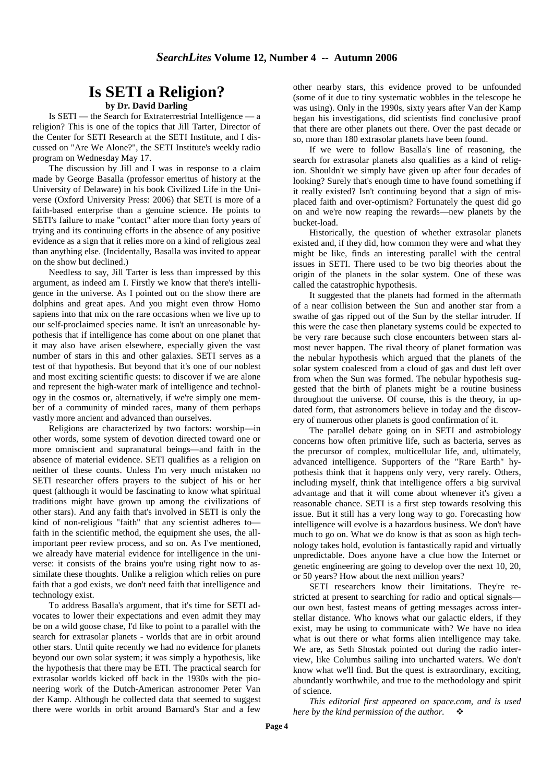# **Is SETI a Religion?**

#### **by Dr. David Darling**

Is SETI — the Search for Extraterrestrial Intelligence — a religion? This is one of the topics that Jill Tarter, Director of the Center for SETI Research at the SETI Institute, and I discussed on "Are We Alone?", the SETI Institute's weekly radio program on Wednesday May 17.

The discussion by Jill and I was in response to a claim made by George Basalla (professor emeritus of history at the University of Delaware) in his book Civilized Life in the Universe (Oxford University Press: 2006) that SETI is more of a faith-based enterprise than a genuine science. He points to SETI's failure to make "contact" after more than forty years of trying and its continuing efforts in the absence of any positive evidence as a sign that it relies more on a kind of religious zeal than anything else. (Incidentally, Basalla was invited to appear on the show but declined.)

Needless to say, Jill Tarter is less than impressed by this argument, as indeed am I. Firstly we know that there's intelligence in the universe. As I pointed out on the show there are dolphins and great apes. And you might even throw Homo sapiens into that mix on the rare occasions when we live up to our self-proclaimed species name. It isn't an unreasonable hypothesis that if intelligence has come about on one planet that it may also have arisen elsewhere, especially given the vast number of stars in this and other galaxies. SETI serves as a test of that hypothesis. But beyond that it's one of our noblest and most exciting scientific quests: to discover if we are alone and represent the high-water mark of intelligence and technology in the cosmos or, alternatively, if we're simply one member of a community of minded races, many of them perhaps vastly more ancient and advanced than ourselves.

Religions are characterized by two factors: worship—in other words, some system of devotion directed toward one or more omniscient and supranatural beings—and faith in the absence of material evidence. SETI qualifies as a religion on neither of these counts. Unless I'm very much mistaken no SETI researcher offers prayers to the subject of his or her quest (although it would be fascinating to know what spiritual traditions might have grown up among the civilizations of other stars). And any faith that's involved in SETI is only the kind of non-religious "faith" that any scientist adheres to faith in the scientific method, the equipment she uses, the allimportant peer review process, and so on. As I've mentioned, we already have material evidence for intelligence in the universe: it consists of the brains you're using right now to assimilate these thoughts. Unlike a religion which relies on pure faith that a god exists, we don't need faith that intelligence and technology exist.

To address Basalla's argument, that it's time for SETI advocates to lower their expectations and even admit they may be on a wild goose chase, I'd like to point to a parallel with the search for extrasolar planets - worlds that are in orbit around other stars. Until quite recently we had no evidence for planets beyond our own solar system; it was simply a hypothesis, like the hypothesis that there may be ETI. The practical search for extrasolar worlds kicked off back in the 1930s with the pioneering work of the Dutch-American astronomer Peter Van der Kamp. Although he collected data that seemed to suggest there were worlds in orbit around Barnard's Star and a few other nearby stars, this evidence proved to be unfounded (some of it due to tiny systematic wobbles in the telescope he was using). Only in the 1990s, sixty years after Van der Kamp began his investigations, did scientists find conclusive proof that there are other planets out there. Over the past decade or so, more than 180 extrasolar planets have been found.

If we were to follow Basalla's line of reasoning, the search for extrasolar planets also qualifies as a kind of religion. Shouldn't we simply have given up after four decades of looking? Surely that's enough time to have found something if it really existed? Isn't continuing beyond that a sign of misplaced faith and over-optimism? Fortunately the quest did go on and we're now reaping the rewards—new planets by the bucket-load.

Historically, the question of whether extrasolar planets existed and, if they did, how common they were and what they might be like, finds an interesting parallel with the central issues in SETI. There used to be two big theories about the origin of the planets in the solar system. One of these was called the catastrophic hypothesis.

It suggested that the planets had formed in the aftermath of a near collision between the Sun and another star from a swathe of gas ripped out of the Sun by the stellar intruder. If this were the case then planetary systems could be expected to be very rare because such close encounters between stars almost never happen. The rival theory of planet formation was the nebular hypothesis which argued that the planets of the solar system coalesced from a cloud of gas and dust left over from when the Sun was formed. The nebular hypothesis suggested that the birth of planets might be a routine business throughout the universe. Of course, this is the theory, in updated form, that astronomers believe in today and the discovery of numerous other planets is good confirmation of it.

The parallel debate going on in SETI and astrobiology concerns how often primitive life, such as bacteria, serves as the precursor of complex, multicellular life, and, ultimately, advanced intelligence. Supporters of the "Rare Earth" hypothesis think that it happens only very, very rarely. Others, including myself, think that intelligence offers a big survival advantage and that it will come about whenever it's given a reasonable chance. SETI is a first step towards resolving this issue. But it still has a very long way to go. Forecasting how intelligence will evolve is a hazardous business. We don't have much to go on. What we do know is that as soon as high technology takes hold, evolution is fantastically rapid and virtually unpredictable. Does anyone have a clue how the Internet or genetic engineering are going to develop over the next 10, 20, or 50 years? How about the next million years?

SETI researchers know their limitations. They're restricted at present to searching for radio and optical signals our own best, fastest means of getting messages across interstellar distance. Who knows what our galactic elders, if they exist, may be using to communicate with? We have no idea what is out there or what forms alien intelligence may take. We are, as Seth Shostak pointed out during the radio interview, like Columbus sailing into uncharted waters. We don't know what we'll find. But the quest is extraordinary, exciting, abundantly worthwhile, and true to the methodology and spirit of science.

*This editorial first appeared on space.com, and is used here by the kind permission of the author.* -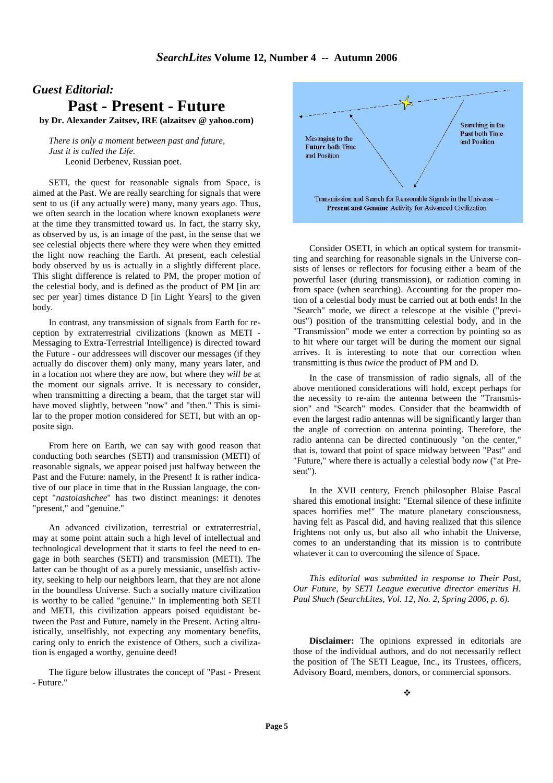# *Guest Editorial:*

**Past - Present - Future**

**by Dr. Alexander Zaitsev, IRE (alzaitsev @ yahoo.com)**

*There is only a moment between past and future, Just it is called the Life.*  Leonid Derbenev, Russian poet.

SETI, the quest for reasonable signals from Space, is aimed at the Past. We are really searching for signals that were sent to us (if any actually were) many, many years ago. Thus, we often search in the location where known exoplanets *were* at the time they transmitted toward us. In fact, the starry sky, as observed by us, is an image of the past, in the sense that we see celestial objects there where they were when they emitted the light now reaching the Earth. At present, each celestial body observed by us is actually in a slightly different place. This slight difference is related to PM, the proper motion of the celestial body, and is defined as the product of PM [in arc sec per year] times distance D [in Light Years] to the given body.

In contrast, any transmission of signals from Earth for reception by extraterrestrial civilizations (known as METI - Messaging to Extra-Terrestrial Intelligence) is directed toward the Future - our addressees will discover our messages (if they actually do discover them) only many, many years later, and in a location not where they are now, but where they *will be* at the moment our signals arrive. It is necessary to consider, when transmitting a directing a beam, that the target star will have moved slightly, between "now" and "then." This is similar to the proper motion considered for SETI, but with an opposite sign.

From here on Earth, we can say with good reason that conducting both searches (SETI) and transmission (METI) of reasonable signals, we appear poised just halfway between the Past and the Future: namely, in the Present! It is rather indicative of our place in time that in the Russian language, the concept "*nastoiashchee*" has two distinct meanings: it denotes "present," and "genuine."

An advanced civilization, terrestrial or extraterrestrial, may at some point attain such a high level of intellectual and technological development that it starts to feel the need to engage in both searches (SETI) and transmission (METI). The latter can be thought of as a purely messianic, unselfish activity, seeking to help our neighbors learn, that they are not alone in the boundless Universe. Such a socially mature civilization is worthy to be called "genuine." In implementing both SETI and METI, this civilization appears poised equidistant between the Past and Future, namely in the Present. Acting altruistically, unselfishly, not expecting any momentary benefits, caring only to enrich the existence of Others, such a civilization is engaged a worthy, genuine deed!

The figure below illustrates the concept of "Past - Present - Future."



Consider OSETI, in which an optical system for transmitting and searching for reasonable signals in the Universe consists of lenses or reflectors for focusing either a beam of the powerful laser (during transmission), or radiation coming in from space (when searching). Accounting for the proper motion of a celestial body must be carried out at both ends! In the "Search" mode, we direct a telescope at the visible ("previous") position of the transmitting celestial body, and in the "Transmission" mode we enter a correction by pointing so as to hit where our target will be during the moment our signal arrives. It is interesting to note that our correction when transmitting is thus *twice* the product of PM and D.

In the case of transmission of radio signals, all of the above mentioned considerations will hold, except perhaps for the necessity to re-aim the antenna between the "Transmission" and "Search" modes. Consider that the beamwidth of even the largest radio antennas will be significantly larger than the angle of correction on antenna pointing. Therefore, the radio antenna can be directed continuously "on the center," that is, toward that point of space midway between "Past" and "Future," where there is actually a celestial body *now* ("at Present").

In the XVII century, French philosopher Blaise Pascal shared this emotional insight: "Eternal silence of these infinite spaces horrifies me!" The mature planetary consciousness, having felt as Pascal did, and having realized that this silence frightens not only us, but also all who inhabit the Universe, comes to an understanding that its mission is to contribute whatever it can to overcoming the silence of Space.

*This editorial was submitted in response to Their Past, Our Future, by SETI League executive director emeritus H. Paul Shuch (SearchLites, Vol. 12, No. 2, Spring 2006, p. 6).* 

**Disclaimer:** The opinions expressed in editorials are those of the individual authors, and do not necessarily reflect the position of The SETI League, Inc., its Trustees, officers, Advisory Board, members, donors, or commercial sponsors.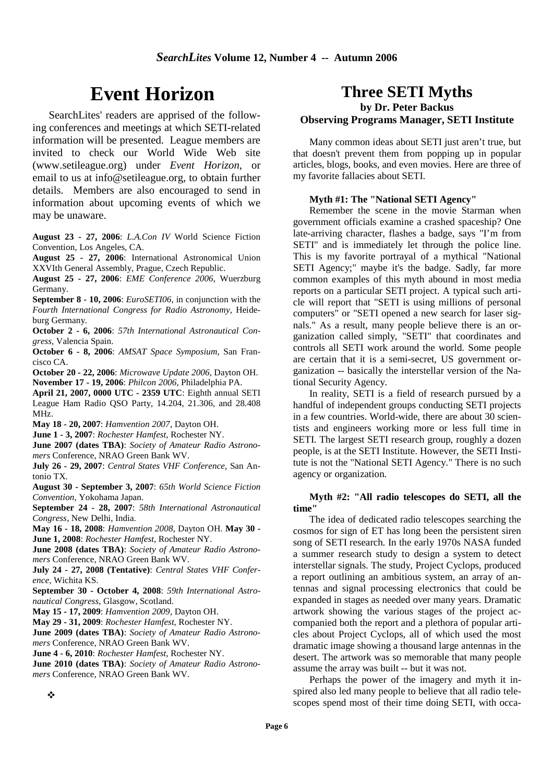# **Event Horizon**

SearchLites' readers are apprised of the following conferences and meetings at which SETI-related information will be presented. League members are invited to check our World Wide Web site (www.setileague.org) under *Event Horizon*, or email to us at info@setileague.org, to obtain further details. Members are also encouraged to send in information about upcoming events of which we may be unaware.

**August 23 - 27, 2006**: *L.A.Con IV* World Science Fiction Convention, Los Angeles, CA.

**August 25 - 27, 2006**: International Astronomical Union XXVIth General Assembly, Prague, Czech Republic.

**August 25 - 27, 2006**: *EME Conference 2006*, Wuerzburg Germany.

**September 8 - 10, 2006**: *EuroSETI06*, in conjunction with the *Fourth International Congress for Radio Astronomy,* Heideburg Germany.

**October 2 - 6, 2006**: *57th International Astronautical Congress*, Valencia Spain.

**October 6 - 8, 2006**: *AMSAT Space Symposium*, San Francisco CA.

**October 20 - 22, 2006**: *Microwave Update 2006*, Dayton OH. **November 17 - 19, 2006**: *Philcon 2006*, Philadelphia PA.

**April 21, 2007, 0000 UTC - 2359 UTC**: Eighth annual SETI League Ham Radio QSO Party, 14.204, 21.306, and 28.408 MHz.

**May 18 - 20, 2007**: *Hamvention 2007*, Dayton OH.

**June 1 - 3, 2007**: *Rochester Hamfest*, Rochester NY.

**June 2007 (dates TBA)**: *Society of Amateur Radio Astronomers* Conference, NRAO Green Bank WV.

**July 26 - 29, 2007**: *Central States VHF Conference*, San Antonio TX.

**August 30 - September 3, 2007**: *65th World Science Fiction Convention*, Yokohama Japan.

**September 24 - 28, 2007**: *58th International Astronautical Congress*, New Delhi, India.

**May 16 - 18, 2008**: *Hamvention 2008*, Dayton OH. **May 30 - June 1, 2008**: *Rochester Hamfest*, Rochester NY.

**June 2008 (dates TBA)**: *Society of Amateur Radio Astronomers* Conference, NRAO Green Bank WV.

**July 24 - 27, 2008 (Tentative)**: *Central States VHF Conference*, Wichita KS.

**September 30 - October 4, 2008**: *59th International Astronautical Congress*, Glasgow, Scotland.

**May 15 - 17, 2009**: *Hamvention 2009*, Dayton OH.

**May 29 - 31, 2009**: *Rochester Hamfest*, Rochester NY.

**June 2009 (dates TBA)**: *Society of Amateur Radio Astronomers* Conference, NRAO Green Bank WV.

**June 4 - 6, 2010**: *Rochester Hamfest*, Rochester NY.

**June 2010 (dates TBA)**: *Society of Amateur Radio Astronomers* Conference, NRAO Green Bank WV.

### **Three SETI Myths by Dr. Peter Backus Observing Programs Manager, SETI Institute**

Many common ideas about SETI just aren't true, but that doesn't prevent them from popping up in popular articles, blogs, books, and even movies. Here are three of my favorite fallacies about SETI.

#### **Myth #1: The "National SETI Agency"**

Remember the scene in the movie Starman when government officials examine a crashed spaceship? One late-arriving character, flashes a badge, says "I'm from SETI" and is immediately let through the police line. This is my favorite portrayal of a mythical "National SETI Agency;" maybe it's the badge. Sadly, far more common examples of this myth abound in most media reports on a particular SETI project. A typical such article will report that "SETI is using millions of personal computers" or "SETI opened a new search for laser signals." As a result, many people believe there is an organization called simply, "SETI" that coordinates and controls all SETI work around the world. Some people are certain that it is a semi-secret, US government organization -- basically the interstellar version of the National Security Agency.

In reality, SETI is a field of research pursued by a handful of independent groups conducting SETI projects in a few countries. World-wide, there are about 30 scientists and engineers working more or less full time in SETI. The largest SETI research group, roughly a dozen people, is at the SETI Institute. However, the SETI Institute is not the "National SETI Agency." There is no such agency or organization.

#### **Myth #2: "All radio telescopes do SETI, all the time"**

The idea of dedicated radio telescopes searching the cosmos for sign of ET has long been the persistent siren song of SETI research. In the early 1970s NASA funded a summer research study to design a system to detect interstellar signals. The study, Project Cyclops, produced a report outlining an ambitious system, an array of antennas and signal processing electronics that could be expanded in stages as needed over many years. Dramatic artwork showing the various stages of the project accompanied both the report and a plethora of popular articles about Project Cyclops, all of which used the most dramatic image showing a thousand large antennas in the desert. The artwork was so memorable that many people assume the array was built -- but it was not.

Perhaps the power of the imagery and myth it inspired also led many people to believe that all radio telescopes spend most of their time doing SETI, with occa-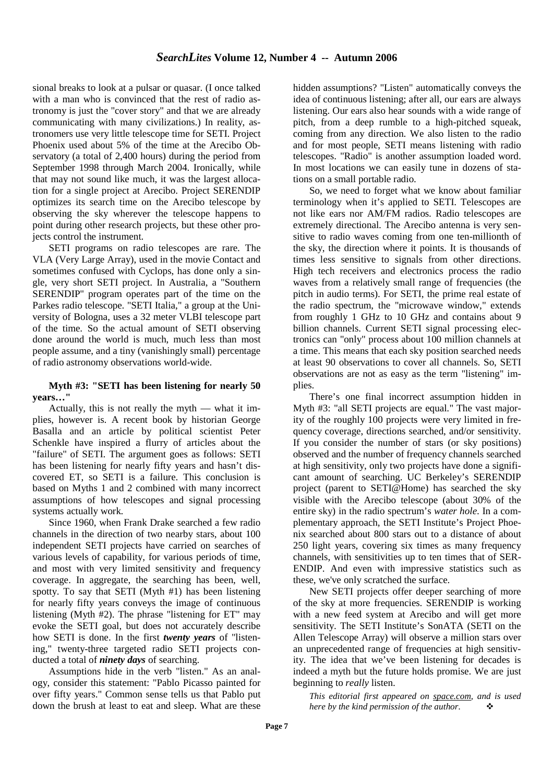sional breaks to look at a pulsar or quasar. (I once talked with a man who is convinced that the rest of radio astronomy is just the "cover story" and that we are already communicating with many civilizations.) In reality, astronomers use very little telescope time for SETI. Project Phoenix used about 5% of the time at the Arecibo Observatory (a total of 2,400 hours) during the period from September 1998 through March 2004. Ironically, while that may not sound like much, it was the largest allocation for a single project at Arecibo. Project SERENDIP optimizes its search time on the Arecibo telescope by observing the sky wherever the telescope happens to point during other research projects, but these other projects control the instrument.

SETI programs on radio telescopes are rare. The VLA (Very Large Array), used in the movie Contact and sometimes confused with Cyclops, has done only a single, very short SETI project. In Australia, a "Southern SERENDIP" program operates part of the time on the Parkes radio telescope. "SETI Italia," a group at the University of Bologna, uses a 32 meter VLBI telescope part of the time. So the actual amount of SETI observing done around the world is much, much less than most people assume, and a tiny (vanishingly small) percentage of radio astronomy observations world-wide.

#### **Myth #3: "SETI has been listening for nearly 50 years…"**

Actually, this is not really the myth — what it implies, however is. A recent book by historian George Basalla and an article by political scientist Peter Schenkle have inspired a flurry of articles about the "failure" of SETI. The argument goes as follows: SETI has been listening for nearly fifty years and hasn't discovered ET, so SETI is a failure. This conclusion is based on Myths 1 and 2 combined with many incorrect assumptions of how telescopes and signal processing systems actually work.

Since 1960, when Frank Drake searched a few radio channels in the direction of two nearby stars, about 100 independent SETI projects have carried on searches of various levels of capability, for various periods of time, and most with very limited sensitivity and frequency coverage. In aggregate, the searching has been, well, spotty. To say that SETI (Myth #1) has been listening for nearly fifty years conveys the image of continuous listening (Myth #2). The phrase "listening for ET" may evoke the SETI goal, but does not accurately describe how SETI is done. In the first *twenty years* of "listening," twenty-three targeted radio SETI projects conducted a total of *ninety days* of searching.

Assumptions hide in the verb "listen." As an analogy, consider this statement: "Pablo Picasso painted for over fifty years." Common sense tells us that Pablo put down the brush at least to eat and sleep. What are these hidden assumptions? "Listen" automatically conveys the idea of continuous listening; after all, our ears are always listening. Our ears also hear sounds with a wide range of pitch, from a deep rumble to a high-pitched squeak, coming from any direction. We also listen to the radio and for most people, SETI means listening with radio telescopes. "Radio" is another assumption loaded word. In most locations we can easily tune in dozens of stations on a small portable radio.

So, we need to forget what we know about familiar terminology when it's applied to SETI. Telescopes are not like ears nor AM/FM radios. Radio telescopes are extremely directional. The Arecibo antenna is very sensitive to radio waves coming from one ten-millionth of the sky, the direction where it points. It is thousands of times less sensitive to signals from other directions. High tech receivers and electronics process the radio waves from a relatively small range of frequencies (the pitch in audio terms). For SETI, the prime real estate of the radio spectrum, the "microwave window," extends from roughly 1 GHz to 10 GHz and contains about 9 billion channels. Current SETI signal processing electronics can "only" process about 100 million channels at a time. This means that each sky position searched needs at least 90 observations to cover all channels. So, SETI observations are not as easy as the term "listening" implies.

There's one final incorrect assumption hidden in Myth #3: "all SETI projects are equal." The vast majority of the roughly 100 projects were very limited in frequency coverage, directions searched, and/or sensitivity. If you consider the number of stars (or sky positions) observed and the number of frequency channels searched at high sensitivity, only two projects have done a significant amount of searching. UC Berkeley's SERENDIP project (parent to SETI@Home) has searched the sky visible with the Arecibo telescope (about 30% of the entire sky) in the radio spectrum's *water hole*. In a complementary approach, the SETI Institute's Project Phoenix searched about 800 stars out to a distance of about 250 light years, covering six times as many frequency channels, with sensitivities up to ten times that of SER-ENDIP. And even with impressive statistics such as these, we've only scratched the surface.

New SETI projects offer deeper searching of more of the sky at more frequencies. SERENDIP is working with a new feed system at Arecibo and will get more sensitivity. The SETI Institute's SonATA (SETI on the Allen Telescope Array) will observe a million stars over an unprecedented range of frequencies at high sensitivity. The idea that we've been listening for decades is indeed a myth but the future holds promise. We are just beginning to *really* listen.

*This editorial first appeared on space.com, and is used here by the kind permission of the author.*  $\bullet$